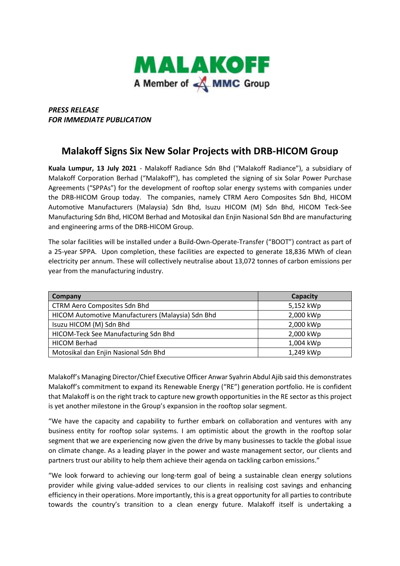

## *PRESS RELEASE FOR IMMEDIATE PUBLICATION*

## **Malakoff Signs Six New Solar Projects with DRB-HICOM Group**

**Kuala Lumpur, 13 July 2021** - Malakoff Radiance Sdn Bhd ("Malakoff Radiance"), a subsidiary of Malakoff Corporation Berhad ("Malakoff"), has completed the signing of six Solar Power Purchase Agreements ("SPPAs") for the development of rooftop solar energy systems with companies under the DRB-HICOM Group today. The companies, namely CTRM Aero Composites Sdn Bhd, HICOM Automotive Manufacturers (Malaysia) Sdn Bhd, Isuzu HICOM (M) Sdn Bhd, HICOM Teck-See Manufacturing Sdn Bhd, HICOM Berhad and Motosikal dan Enjin Nasional Sdn Bhd are manufacturing and engineering arms of the DRB-HICOM Group.

The solar facilities will be installed under a Build-Own-Operate-Transfer ("BOOT") contract as part of a 25-year SPPA. Upon completion, these facilities are expected to generate 18,836 MWh of clean electricity per annum. These will collectively neutralise about 13,072 tonnes of carbon emissions per year from the manufacturing industry.

| Company                                           | Capacity  |
|---------------------------------------------------|-----------|
| <b>CTRM Aero Composites Sdn Bhd</b>               | 5,152 kWp |
| HICOM Automotive Manufacturers (Malaysia) Sdn Bhd | 2,000 kWp |
| Isuzu HICOM (M) Sdn Bhd                           | 2,000 kWp |
| HICOM-Teck See Manufacturing Sdn Bhd              | 2,000 kWp |
| <b>HICOM Berhad</b>                               | 1,004 kWp |
| Motosikal dan Enjin Nasional Sdn Bhd              | 1,249 kWp |

Malakoff's Managing Director/Chief Executive Officer Anwar Syahrin Abdul Ajib said this demonstrates Malakoff's commitment to expand its Renewable Energy ("RE") generation portfolio. He is confident that Malakoff is on the right track to capture new growth opportunities in the RE sector as this project is yet another milestone in the Group's expansion in the rooftop solar segment.

"We have the capacity and capability to further embark on collaboration and ventures with any business entity for rooftop solar systems. I am optimistic about the growth in the rooftop solar segment that we are experiencing now given the drive by many businesses to tackle the global issue on climate change. As a leading player in the power and waste management sector, our clients and partners trust our ability to help them achieve their agenda on tackling carbon emissions."

"We look forward to achieving our long-term goal of being a sustainable clean energy solutions provider while giving value-added services to our clients in realising cost savings and enhancing efficiency in their operations. More importantly, this is a great opportunity for all parties to contribute towards the country's transition to a clean energy future. Malakoff itself is undertaking a